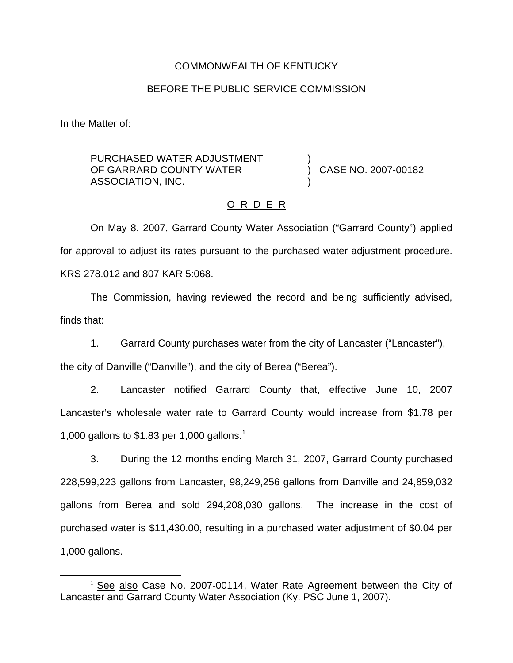## COMMONWEALTH OF KENTUCKY

#### BEFORE THE PUBLIC SERVICE COMMISSION

In the Matter of:

PURCHASED WATER ADJUSTMENT OF GARRARD COUNTY WATER ASSOCIATION, INC. ) )

) CASE NO. 2007-00182

#### O R D E R

On May 8, 2007, Garrard County Water Association ("Garrard County") applied for approval to adjust its rates pursuant to the purchased water adjustment procedure. KRS 278.012 and 807 KAR 5:068.

The Commission, having reviewed the record and being sufficiently advised, finds that:

1. Garrard County purchases water from the city of Lancaster ("Lancaster"),

the city of Danville ("Danville"), and the city of Berea ("Berea").

2. Lancaster notified Garrard County that, effective June 10, 2007 Lancaster's wholesale water rate to Garrard County would increase from \$1.78 per 1,000 gallons to \$1.83 per 1,000 gallons.<sup>1</sup>

3. During the 12 months ending March 31, 2007, Garrard County purchased 228,599,223 gallons from Lancaster, 98,249,256 gallons from Danville and 24,859,032 gallons from Berea and sold 294,208,030 gallons. The increase in the cost of purchased water is \$11,430.00, resulting in a purchased water adjustment of \$0.04 per 1,000 gallons.

<sup>&</sup>lt;sup>1</sup> See also Case No. 2007-00114, Water Rate Agreement between the City of Lancaster and Garrard County Water Association (Ky. PSC June 1, 2007).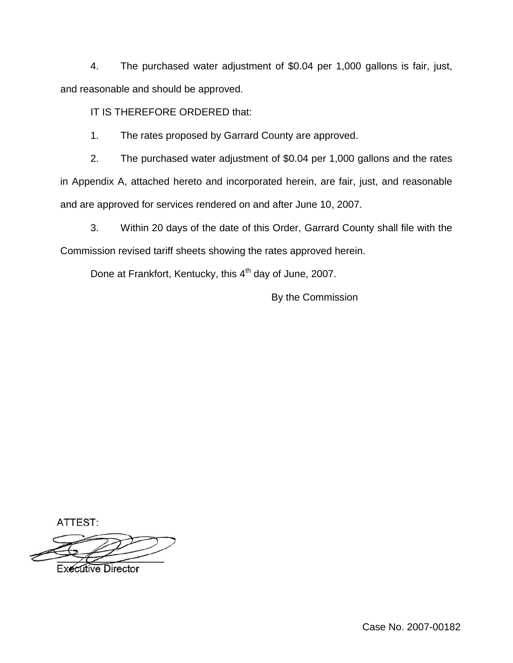4. The purchased water adjustment of \$0.04 per 1,000 gallons is fair, just, and reasonable and should be approved.

IT IS THEREFORE ORDERED that:

1. The rates proposed by Garrard County are approved.

2. The purchased water adjustment of \$0.04 per 1,000 gallons and the rates in Appendix A, attached hereto and incorporated herein, are fair, just, and reasonable and are approved for services rendered on and after June 10, 2007.

3. Within 20 days of the date of this Order, Garrard County shall file with the Commission revised tariff sheets showing the rates approved herein.

Done at Frankfort, Kentucky, this 4<sup>th</sup> day of June, 2007.

By the Commission

ATTEST:

**Executive Director**